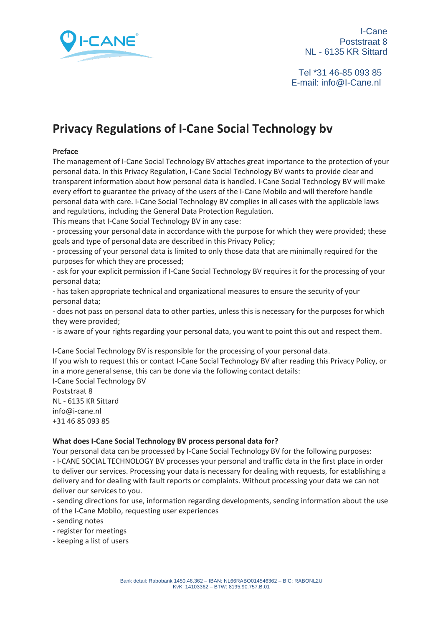

 Tel \*31 46-85 093 85 E-mail: info@I-Cane.nl

# **Privacy Regulations of I-Cane Social Technology bv**

#### **Preface**

The management of I-Cane Social Technology BV attaches great importance to the protection of your personal data. In this Privacy Regulation, I-Cane Social Technology BV wants to provide clear and transparent information about how personal data is handled. I-Cane Social Technology BV will make every effort to guarantee the privacy of the users of the I-Cane Mobilo and will therefore handle personal data with care. I-Cane Social Technology BV complies in all cases with the applicable laws and regulations, including the General Data Protection Regulation.

This means that I-Cane Social Technology BV in any case:

- processing your personal data in accordance with the purpose for which they were provided; these goals and type of personal data are described in this Privacy Policy;

- processing of your personal data is limited to only those data that are minimally required for the purposes for which they are processed;

- ask for your explicit permission if I-Cane Social Technology BV requires it for the processing of your personal data;

- has taken appropriate technical and organizational measures to ensure the security of your personal data;

- does not pass on personal data to other parties, unless this is necessary for the purposes for which they were provided;

- is aware of your rights regarding your personal data, you want to point this out and respect them.

I-Cane Social Technology BV is responsible for the processing of your personal data. If you wish to request this or contact I-Cane Social Technology BV after reading this Privacy Policy, or in a more general sense, this can be done via the following contact details:

I-Cane Social Technology BV Poststraat 8 NL - 6135 KR Sittard info@i-cane.nl +31 46 85 093 85

#### **What does I-Cane Social Technology BV process personal data for?**

Your personal data can be processed by I-Cane Social Technology BV for the following purposes: - I-CANE SOCIAL TECHNOLOGY BV processes your personal and traffic data in the first place in order to deliver our services. Processing your data is necessary for dealing with requests, for establishing a delivery and for dealing with fault reports or complaints. Without processing your data we can not deliver our services to you.

- sending directions for use, information regarding developments, sending information about the use of the I-Cane Mobilo, requesting user experiences

- sending notes

- register for meetings

- keeping a list of users